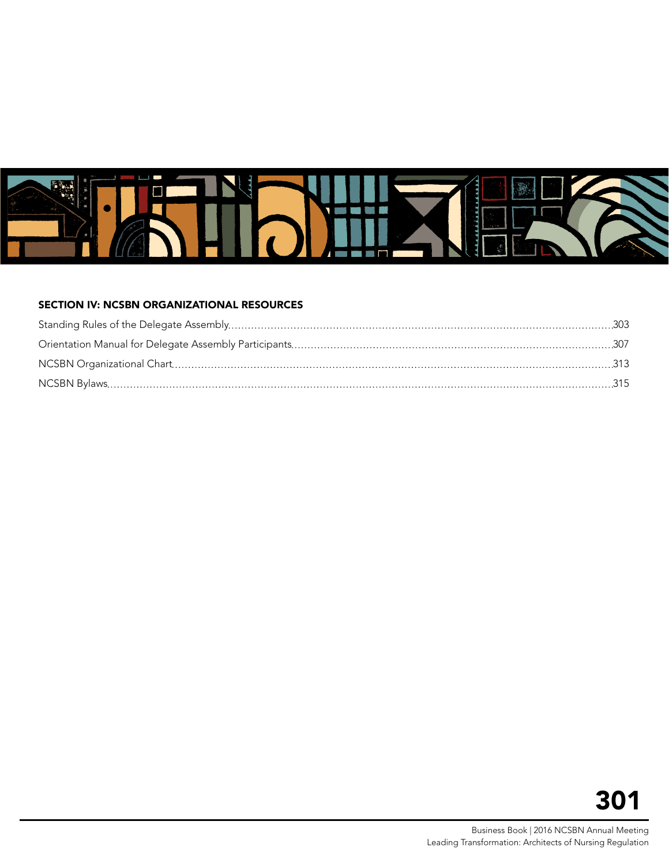

#### SECTION IV: NCSBN ORGANIZATIONAL RESOURCES

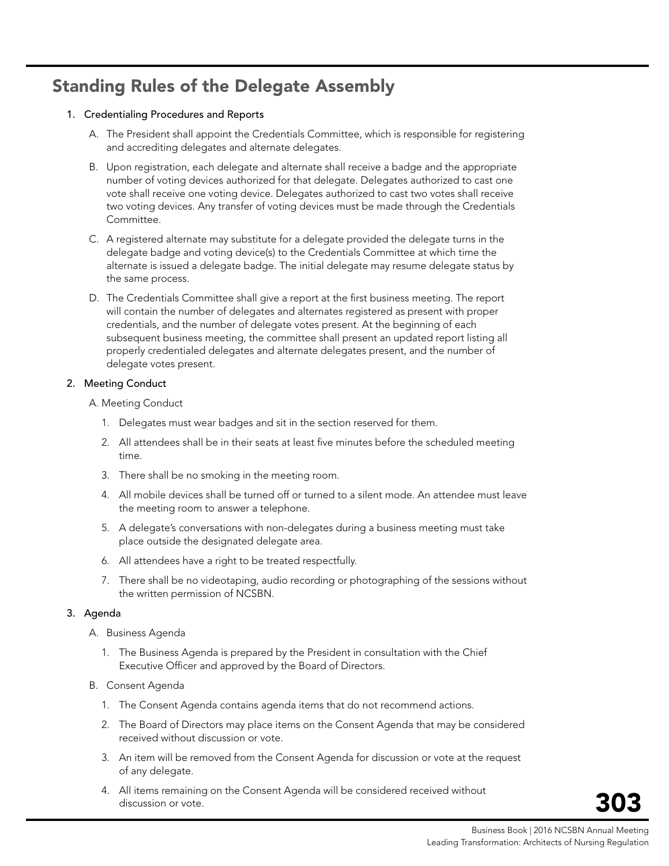# <span id="page-2-0"></span>Standing Rules of the Delegate Assembly

#### 1. Credentialing Procedures and Reports

- A. The President shall appoint the Credentials Committee, which is responsible for registering and accrediting delegates and alternate delegates.
- B. Upon registration, each delegate and alternate shall receive a badge and the appropriate number of voting devices authorized for that delegate. Delegates authorized to cast one vote shall receive one voting device. Delegates authorized to cast two votes shall receive two voting devices. Any transfer of voting devices must be made through the Credentials Committee.
- C. A registered alternate may substitute for a delegate provided the delegate turns in the delegate badge and voting device(s) to the Credentials Committee at which time the alternate is issued a delegate badge. The initial delegate may resume delegate status by the same process.
- D. The Credentials Committee shall give a report at the first business meeting. The report will contain the number of delegates and alternates registered as present with proper credentials, and the number of delegate votes present. At the beginning of each subsequent business meeting, the committee shall present an updated report listing all properly credentialed delegates and alternate delegates present, and the number of delegate votes present.

#### 2. Meeting Conduct

A. Meeting Conduct

- 1. Delegates must wear badges and sit in the section reserved for them.
- 2. All attendees shall be in their seats at least five minutes before the scheduled meeting time.
- 3. There shall be no smoking in the meeting room.
- 4. All mobile devices shall be turned off or turned to a silent mode. An attendee must leave the meeting room to answer a telephone.
- 5. A delegate's conversations with non-delegates during a business meeting must take place outside the designated delegate area.
- 6. All attendees have a right to be treated respectfully.
- 7. There shall be no videotaping, audio recording or photographing of the sessions without the written permission of NCSBN.

#### 3. Agenda

- A. Business Agenda
	- 1. The Business Agenda is prepared by the President in consultation with the Chief Executive Officer and approved by the Board of Directors.
- B. Consent Agenda
	- 1. The Consent Agenda contains agenda items that do not recommend actions.
	- 2. The Board of Directors may place items on the Consent Agenda that may be considered received without discussion or vote.
	- 3. An item will be removed from the Consent Agenda for discussion or vote at the request of any delegate.
	- 4. All items remaining on the Consent Agenda will be considered received without discussion or vote.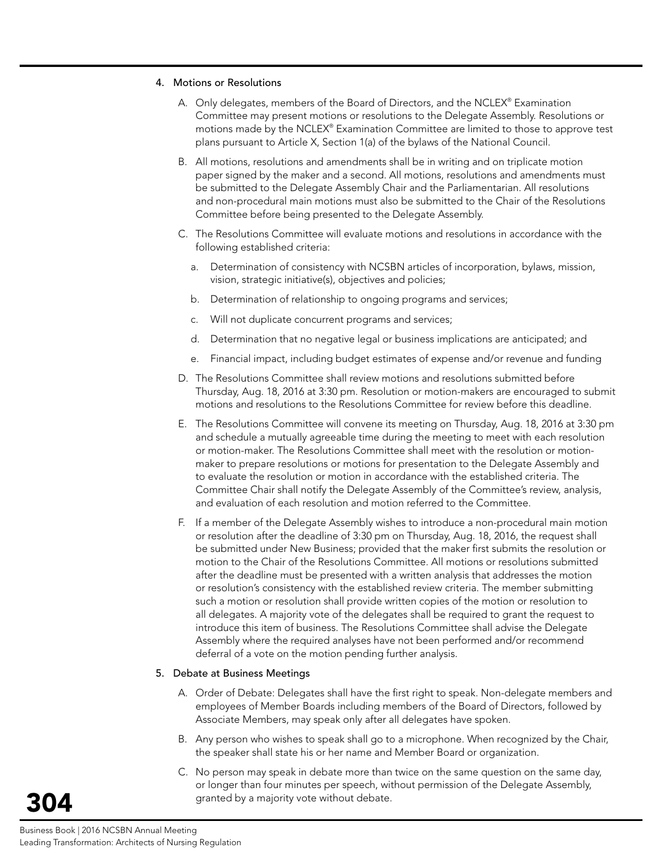#### 4. Motions or Resolutions

- A. Only delegates, members of the Board of Directors, and the NCLEX® Examination Committee may present motions or resolutions to the Delegate Assembly. Resolutions or motions made by the NCLEX® Examination Committee are limited to those to approve test plans pursuant to Article X, Section 1(a) of the bylaws of the National Council.
- B. All motions, resolutions and amendments shall be in writing and on triplicate motion paper signed by the maker and a second. All motions, resolutions and amendments must be submitted to the Delegate Assembly Chair and the Parliamentarian. All resolutions and non-procedural main motions must also be submitted to the Chair of the Resolutions Committee before being presented to the Delegate Assembly.
- C. The Resolutions Committee will evaluate motions and resolutions in accordance with the following established criteria:
	- a. Determination of consistency with NCSBN articles of incorporation, bylaws, mission, vision, strategic initiative(s), objectives and policies;
	- b. Determination of relationship to ongoing programs and services;
	- c. Will not duplicate concurrent programs and services;
	- d. Determination that no negative legal or business implications are anticipated; and
	- e. Financial impact, including budget estimates of expense and/or revenue and funding
- D. The Resolutions Committee shall review motions and resolutions submitted before Thursday, Aug. 18, 2016 at 3:30 pm. Resolution or motion-makers are encouraged to submit motions and resolutions to the Resolutions Committee for review before this deadline.
- E. The Resolutions Committee will convene its meeting on Thursday, Aug. 18, 2016 at 3:30 pm and schedule a mutually agreeable time during the meeting to meet with each resolution or motion-maker. The Resolutions Committee shall meet with the resolution or motionmaker to prepare resolutions or motions for presentation to the Delegate Assembly and to evaluate the resolution or motion in accordance with the established criteria. The Committee Chair shall notify the Delegate Assembly of the Committee's review, analysis, and evaluation of each resolution and motion referred to the Committee.
- F. If a member of the Delegate Assembly wishes to introduce a non-procedural main motion or resolution after the deadline of 3:30 pm on Thursday, Aug. 18, 2016, the request shall be submitted under New Business; provided that the maker first submits the resolution or motion to the Chair of the Resolutions Committee. All motions or resolutions submitted after the deadline must be presented with a written analysis that addresses the motion or resolution's consistency with the established review criteria. The member submitting such a motion or resolution shall provide written copies of the motion or resolution to all delegates. A majority vote of the delegates shall be required to grant the request to introduce this item of business. The Resolutions Committee shall advise the Delegate Assembly where the required analyses have not been performed and/or recommend deferral of a vote on the motion pending further analysis.

#### 5. Debate at Business Meetings

- A. Order of Debate: Delegates shall have the first right to speak. Non-delegate members and employees of Member Boards including members of the Board of Directors, followed by Associate Members, may speak only after all delegates have spoken.
- B. Any person who wishes to speak shall go to a microphone. When recognized by the Chair, the speaker shall state his or her name and Member Board or organization.
- C. No person may speak in debate more than twice on the same question on the same day, or longer than four minutes per speech, without permission of the Delegate Assembly, granted by a majority vote without debate.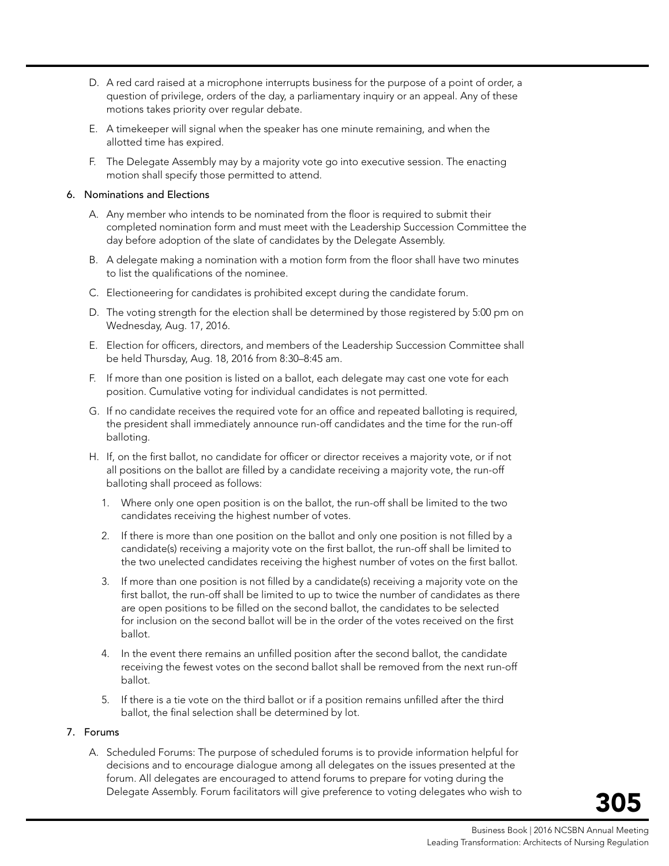- D. A red card raised at a microphone interrupts business for the purpose of a point of order, a question of privilege, orders of the day, a parliamentary inquiry or an appeal. Any of these motions takes priority over regular debate.
- E. A timekeeper will signal when the speaker has one minute remaining, and when the allotted time has expired.
- F. The Delegate Assembly may by a majority vote go into executive session. The enacting motion shall specify those permitted to attend.

#### 6. Nominations and Elections

- A. Any member who intends to be nominated from the floor is required to submit their completed nomination form and must meet with the Leadership Succession Committee the day before adoption of the slate of candidates by the Delegate Assembly.
- B. A delegate making a nomination with a motion form from the floor shall have two minutes to list the qualifications of the nominee.
- C. Electioneering for candidates is prohibited except during the candidate forum.
- D. The voting strength for the election shall be determined by those registered by 5:00 pm on Wednesday, Aug. 17, 2016.
- E. Election for officers, directors, and members of the Leadership Succession Committee shall be held Thursday, Aug. 18, 2016 from 8:30–8:45 am.
- F. If more than one position is listed on a ballot, each delegate may cast one vote for each position. Cumulative voting for individual candidates is not permitted.
- G. If no candidate receives the required vote for an office and repeated balloting is required, the president shall immediately announce run-off candidates and the time for the run-off balloting.
- H. If, on the first ballot, no candidate for officer or director receives a majority vote, or if not all positions on the ballot are filled by a candidate receiving a majority vote, the run-off balloting shall proceed as follows:
	- 1. Where only one open position is on the ballot, the run-off shall be limited to the two candidates receiving the highest number of votes.
	- 2. If there is more than one position on the ballot and only one position is not filled by a candidate(s) receiving a majority vote on the first ballot, the run-off shall be limited to the two unelected candidates receiving the highest number of votes on the first ballot.
	- 3. If more than one position is not filled by a candidate(s) receiving a majority vote on the first ballot, the run-off shall be limited to up to twice the number of candidates as there are open positions to be filled on the second ballot, the candidates to be selected for inclusion on the second ballot will be in the order of the votes received on the first ballot.
	- 4. In the event there remains an unfilled position after the second ballot, the candidate receiving the fewest votes on the second ballot shall be removed from the next run-off ballot.
	- 5. If there is a tie vote on the third ballot or if a position remains unfilled after the third ballot, the final selection shall be determined by lot.

#### 7. Forums

A. Scheduled Forums: The purpose of scheduled forums is to provide information helpful for decisions and to encourage dialogue among all delegates on the issues presented at the forum. All delegates are encouraged to attend forums to prepare for voting during the Delegate Assembly. Forum facilitators will give preference to voting delegates who wish to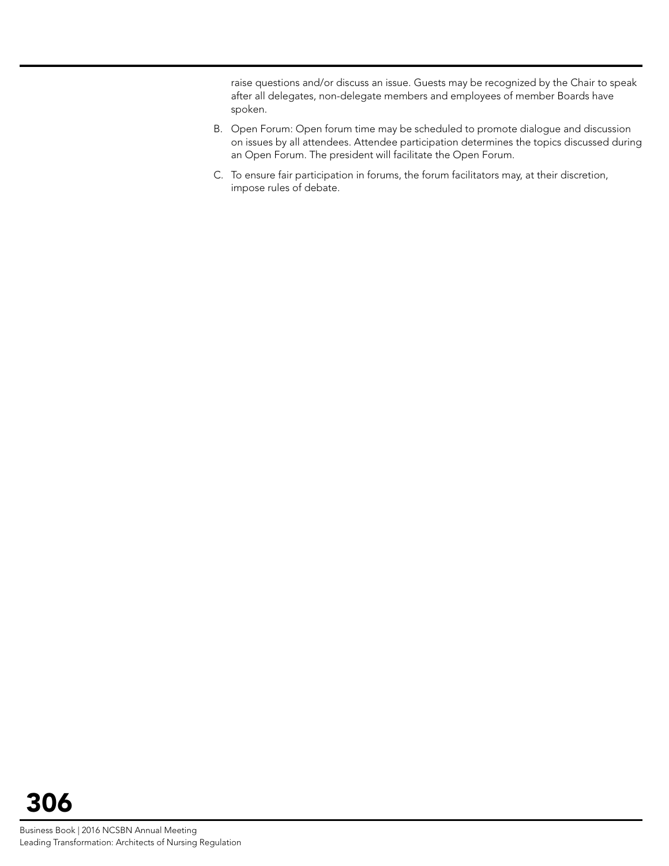raise questions and/or discuss an issue. Guests may be recognized by the Chair to speak after all delegates, non-delegate members and employees of member Boards have spoken.

- B. Open Forum: Open forum time may be scheduled to promote dialogue and discussion on issues by all attendees. Attendee participation determines the topics discussed during an Open Forum. The president will facilitate the Open Forum.
- C. To ensure fair participation in forums, the forum facilitators may, at their discretion, impose rules of debate.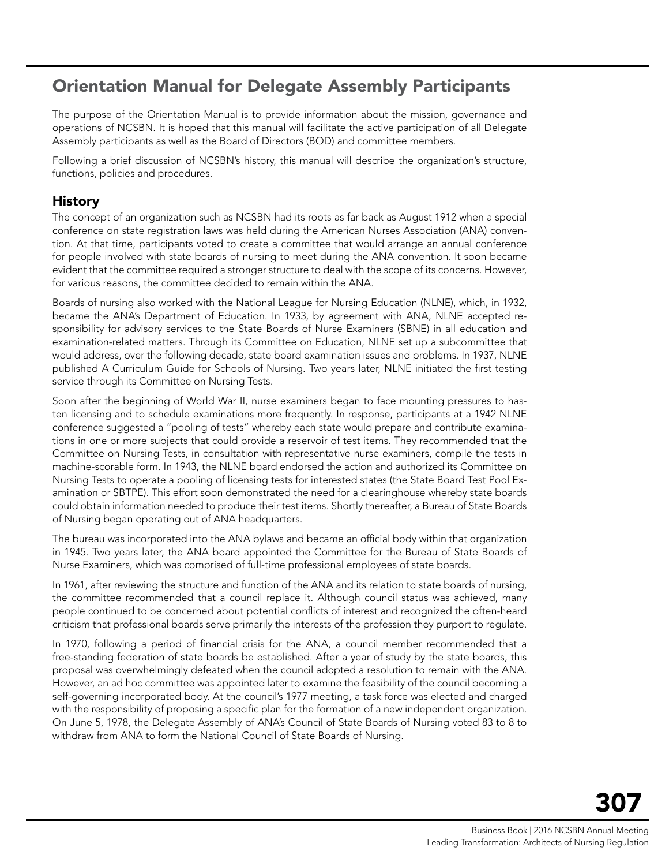# <span id="page-6-0"></span>Orientation Manual for Delegate Assembly Participants

The purpose of the Orientation Manual is to provide information about the mission, governance and operations of NCSBN. It is hoped that this manual will facilitate the active participation of all Delegate Assembly participants as well as the Board of Directors (BOD) and committee members.

Following a brief discussion of NCSBN's history, this manual will describe the organization's structure, functions, policies and procedures.

# History

The concept of an organization such as NCSBN had its roots as far back as August 1912 when a special conference on state registration laws was held during the American Nurses Association (ANA) convention. At that time, participants voted to create a committee that would arrange an annual conference for people involved with state boards of nursing to meet during the ANA convention. It soon became evident that the committee required a stronger structure to deal with the scope of its concerns. However, for various reasons, the committee decided to remain within the ANA.

Boards of nursing also worked with the National League for Nursing Education (NLNE), which, in 1932, became the ANA's Department of Education. In 1933, by agreement with ANA, NLNE accepted responsibility for advisory services to the State Boards of Nurse Examiners (SBNE) in all education and examination-related matters. Through its Committee on Education, NLNE set up a subcommittee that would address, over the following decade, state board examination issues and problems. In 1937, NLNE published A Curriculum Guide for Schools of Nursing. Two years later, NLNE initiated the first testing service through its Committee on Nursing Tests.

Soon after the beginning of World War II, nurse examiners began to face mounting pressures to hasten licensing and to schedule examinations more frequently. In response, participants at a 1942 NLNE conference suggested a "pooling of tests" whereby each state would prepare and contribute examinations in one or more subjects that could provide a reservoir of test items. They recommended that the Committee on Nursing Tests, in consultation with representative nurse examiners, compile the tests in machine-scorable form. In 1943, the NLNE board endorsed the action and authorized its Committee on Nursing Tests to operate a pooling of licensing tests for interested states (the State Board Test Pool Examination or SBTPE). This effort soon demonstrated the need for a clearinghouse whereby state boards could obtain information needed to produce their test items. Shortly thereafter, a Bureau of State Boards of Nursing began operating out of ANA headquarters.

The bureau was incorporated into the ANA bylaws and became an official body within that organization in 1945. Two years later, the ANA board appointed the Committee for the Bureau of State Boards of Nurse Examiners, which was comprised of full-time professional employees of state boards.

In 1961, after reviewing the structure and function of the ANA and its relation to state boards of nursing, the committee recommended that a council replace it. Although council status was achieved, many people continued to be concerned about potential conflicts of interest and recognized the often-heard criticism that professional boards serve primarily the interests of the profession they purport to regulate.

In 1970, following a period of financial crisis for the ANA, a council member recommended that a free-standing federation of state boards be established. After a year of study by the state boards, this proposal was overwhelmingly defeated when the council adopted a resolution to remain with the ANA. However, an ad hoc committee was appointed later to examine the feasibility of the council becoming a self-governing incorporated body. At the council's 1977 meeting, a task force was elected and charged with the responsibility of proposing a specific plan for the formation of a new independent organization. On June 5, 1978, the Delegate Assembly of ANA's Council of State Boards of Nursing voted 83 to 8 to withdraw from ANA to form the National Council of State Boards of Nursing.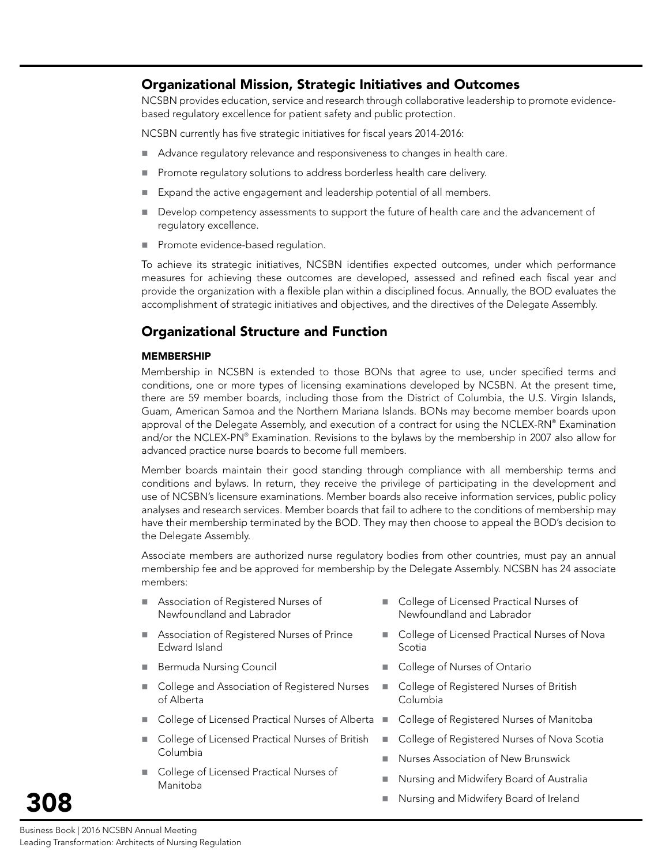## Organizational Mission, Strategic Initiatives and Outcomes

NCSBN provides education, service and research through collaborative leadership to promote evidencebased regulatory excellence for patient safety and public protection.

NCSBN currently has five strategic initiatives for fiscal years 2014-2016:

- Advance regulatory relevance and responsiveness to changes in health care.
- Promote regulatory solutions to address borderless health care delivery.
- Expand the active engagement and leadership potential of all members.
- Develop competency assessments to support the future of health care and the advancement of regulatory excellence.
- Promote evidence-based regulation.

To achieve its strategic initiatives, NCSBN identifies expected outcomes, under which performance measures for achieving these outcomes are developed, assessed and refined each fiscal year and provide the organization with a flexible plan within a disciplined focus. Annually, the BOD evaluates the accomplishment of strategic initiatives and objectives, and the directives of the Delegate Assembly.

# Organizational Structure and Function

#### **MEMBERSHIP**

Membership in NCSBN is extended to those BONs that agree to use, under specified terms and conditions, one or more types of licensing examinations developed by NCSBN. At the present time, there are 59 member boards, including those from the District of Columbia, the U.S. Virgin Islands, Guam, American Samoa and the Northern Mariana Islands. BONs may become member boards upon approval of the Delegate Assembly, and execution of a contract for using the NCLEX-RN® Examination and/or the NCLEX-PN® Examination. Revisions to the bylaws by the membership in 2007 also allow for advanced practice nurse boards to become full members.

Member boards maintain their good standing through compliance with all membership terms and conditions and bylaws. In return, they receive the privilege of participating in the development and use of NCSBN's licensure examinations. Member boards also receive information services, public policy analyses and research services. Member boards that fail to adhere to the conditions of membership may have their membership terminated by the BOD. They may then choose to appeal the BOD's decision to the Delegate Assembly.

Associate members are authorized nurse regulatory bodies from other countries, must pay an annual membership fee and be approved for membership by the Delegate Assembly. NCSBN has 24 associate members:

- Association of Registered Nurses of Newfoundland and Labrador
- **Association of Registered Nurses of Prince** Edward Island
- Bermuda Nursing Council
- College and Association of Registered Nurses of Alberta
- College of Licensed Practical Nurses of Alberta
- College of Licensed Practical Nurses of British Columbia
- College of Licensed Practical Nurses of Manitoba
- College of Licensed Practical Nurses of Newfoundland and Labrador
- College of Licensed Practical Nurses of Nova Scotia
- College of Nurses of Ontario
- College of Registered Nurses of British Columbia
- College of Registered Nurses of Manitoba
- College of Registered Nurses of Nova Scotia
- Nurses Association of New Brunswick
- Nursing and Midwifery Board of Australia
- Nursing and Midwifery Board of Ireland

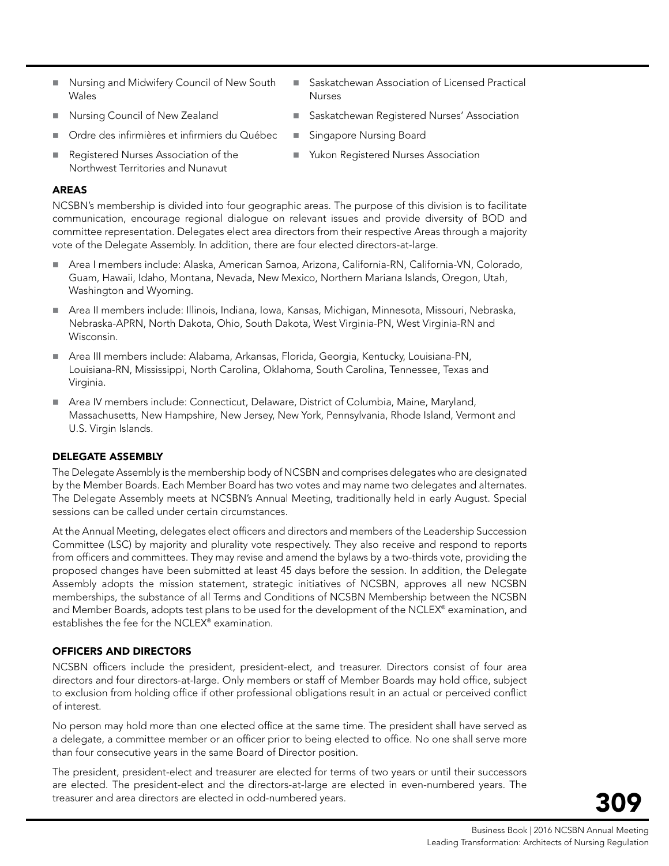- Nursing and Midwifery Council of New South Wales
- Nursing Council of New Zealand
- Ordre des infirmières et infirmiers du Québec
- Registered Nurses Association of the Northwest Territories and Nunavut
- Saskatchewan Association of Licensed Practical Nurses
- Saskatchewan Registered Nurses' Association
- **Singapore Nursing Board** 
	- Yukon Registered Nurses Association

#### AREAS

NCSBN's membership is divided into four geographic areas. The purpose of this division is to facilitate communication, encourage regional dialogue on relevant issues and provide diversity of BOD and committee representation. Delegates elect area directors from their respective Areas through a majority vote of the Delegate Assembly. In addition, there are four elected directors-at-large.

- Area I members include: Alaska, American Samoa, Arizona, California-RN, California-VN, Colorado, Guam, Hawaii, Idaho, Montana, Nevada, New Mexico, Northern Mariana Islands, Oregon, Utah, Washington and Wyoming.
- Area II members include: Illinois, Indiana, Iowa, Kansas, Michigan, Minnesota, Missouri, Nebraska, Nebraska-APRN, North Dakota, Ohio, South Dakota, West Virginia-PN, West Virginia-RN and Wisconsin.
- Area III members include: Alabama, Arkansas, Florida, Georgia, Kentucky, Louisiana-PN, Louisiana-RN, Mississippi, North Carolina, Oklahoma, South Carolina, Tennessee, Texas and Virginia.
- Area IV members include: Connecticut, Delaware, District of Columbia, Maine, Maryland, Massachusetts, New Hampshire, New Jersey, New York, Pennsylvania, Rhode Island, Vermont and U.S. Virgin Islands.

#### DELEGATE ASSEMBLY

The Delegate Assembly is the membership body of NCSBN and comprises delegates who are designated by the Member Boards. Each Member Board has two votes and may name two delegates and alternates. The Delegate Assembly meets at NCSBN's Annual Meeting, traditionally held in early August. Special sessions can be called under certain circumstances.

At the Annual Meeting, delegates elect officers and directors and members of the Leadership Succession Committee (LSC) by majority and plurality vote respectively. They also receive and respond to reports from officers and committees. They may revise and amend the bylaws by a two-thirds vote, providing the proposed changes have been submitted at least 45 days before the session. In addition, the Delegate Assembly adopts the mission statement, strategic initiatives of NCSBN, approves all new NCSBN memberships, the substance of all Terms and Conditions of NCSBN Membership between the NCSBN and Member Boards, adopts test plans to be used for the development of the NCLEX® examination, and establishes the fee for the NCLEX® examination.

#### OFFICERS AND DIRECTORS

NCSBN officers include the president, president-elect, and treasurer. Directors consist of four area directors and four directors-at-large. Only members or staff of Member Boards may hold office, subject to exclusion from holding office if other professional obligations result in an actual or perceived conflict of interest.

No person may hold more than one elected office at the same time. The president shall have served as a delegate, a committee member or an officer prior to being elected to office. No one shall serve more than four consecutive years in the same Board of Director position.

The president, president-elect and treasurer are elected for terms of two years or until their successors are elected. The president-elect and the directors-at-large are elected in even-numbered years. The treasurer and area directors are elected in odd-numbered years.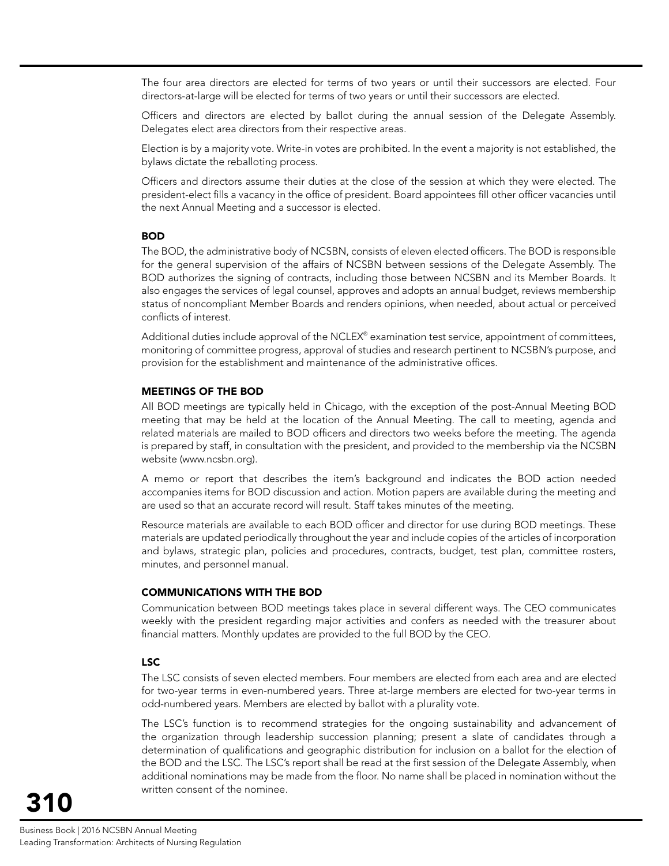The four area directors are elected for terms of two years or until their successors are elected. Four directors-at-large will be elected for terms of two years or until their successors are elected.

Officers and directors are elected by ballot during the annual session of the Delegate Assembly. Delegates elect area directors from their respective areas.

Election is by a majority vote. Write-in votes are prohibited. In the event a majority is not established, the bylaws dictate the reballoting process.

Officers and directors assume their duties at the close of the session at which they were elected. The president-elect fills a vacancy in the office of president. Board appointees fill other officer vacancies until the next Annual Meeting and a successor is elected.

#### **BOD**

The BOD, the administrative body of NCSBN, consists of eleven elected officers. The BOD is responsible for the general supervision of the affairs of NCSBN between sessions of the Delegate Assembly. The BOD authorizes the signing of contracts, including those between NCSBN and its Member Boards. It also engages the services of legal counsel, approves and adopts an annual budget, reviews membership status of noncompliant Member Boards and renders opinions, when needed, about actual or perceived conflicts of interest.

Additional duties include approval of the NCLEX® examination test service, appointment of committees, monitoring of committee progress, approval of studies and research pertinent to NCSBN's purpose, and provision for the establishment and maintenance of the administrative offices.

#### MEETINGS OF THE BOD

All BOD meetings are typically held in Chicago, with the exception of the post-Annual Meeting BOD meeting that may be held at the location of the Annual Meeting. The call to meeting, agenda and related materials are mailed to BOD officers and directors two weeks before the meeting. The agenda is prepared by staff, in consultation with the president, and provided to the membership via the NCSBN website (www.ncsbn.org).

A memo or report that describes the item's background and indicates the BOD action needed accompanies items for BOD discussion and action. Motion papers are available during the meeting and are used so that an accurate record will result. Staff takes minutes of the meeting.

Resource materials are available to each BOD officer and director for use during BOD meetings. These materials are updated periodically throughout the year and include copies of the articles of incorporation and bylaws, strategic plan, policies and procedures, contracts, budget, test plan, committee rosters, minutes, and personnel manual.

#### COMMUNICATIONS WITH THE BOD

Communication between BOD meetings takes place in several different ways. The CEO communicates weekly with the president regarding major activities and confers as needed with the treasurer about financial matters. Monthly updates are provided to the full BOD by the CEO.

#### LSC

The LSC consists of seven elected members. Four members are elected from each area and are elected for two-year terms in even-numbered years. Three at-large members are elected for two-year terms in odd-numbered years. Members are elected by ballot with a plurality vote.

The LSC's function is to recommend strategies for the ongoing sustainability and advancement of the organization through leadership succession planning; present a slate of candidates through a determination of qualifications and geographic distribution for inclusion on a ballot for the election of the BOD and the LSC. The LSC's report shall be read at the first session of the Delegate Assembly, when additional nominations may be made from the floor. No name shall be placed in nomination without the written consent of the nominee.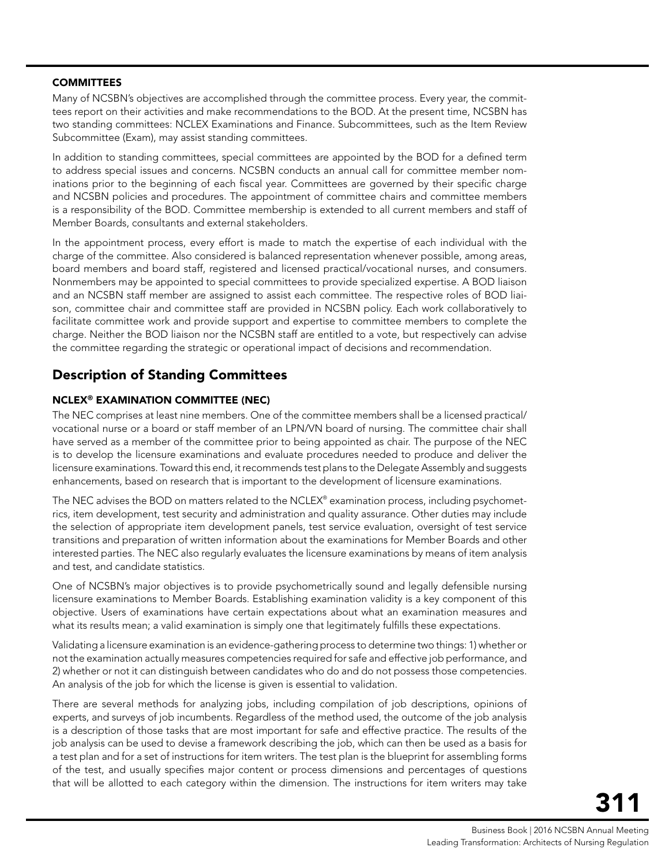#### **COMMITTEES**

Many of NCSBN's objectives are accomplished through the committee process. Every year, the committees report on their activities and make recommendations to the BOD. At the present time, NCSBN has two standing committees: NCLEX Examinations and Finance. Subcommittees, such as the Item Review Subcommittee (Exam), may assist standing committees.

In addition to standing committees, special committees are appointed by the BOD for a defined term to address special issues and concerns. NCSBN conducts an annual call for committee member nominations prior to the beginning of each fiscal year. Committees are governed by their specific charge and NCSBN policies and procedures. The appointment of committee chairs and committee members is a responsibility of the BOD. Committee membership is extended to all current members and staff of Member Boards, consultants and external stakeholders.

In the appointment process, every effort is made to match the expertise of each individual with the charge of the committee. Also considered is balanced representation whenever possible, among areas, board members and board staff, registered and licensed practical/vocational nurses, and consumers. Nonmembers may be appointed to special committees to provide specialized expertise. A BOD liaison and an NCSBN staff member are assigned to assist each committee. The respective roles of BOD liaison, committee chair and committee staff are provided in NCSBN policy. Each work collaboratively to facilitate committee work and provide support and expertise to committee members to complete the charge. Neither the BOD liaison nor the NCSBN staff are entitled to a vote, but respectively can advise the committee regarding the strategic or operational impact of decisions and recommendation.

# Description of Standing Committees

#### NCLEX® EXAMINATION COMMITTEE (NEC)

The NEC comprises at least nine members. One of the committee members shall be a licensed practical/ vocational nurse or a board or staff member of an LPN/VN board of nursing. The committee chair shall have served as a member of the committee prior to being appointed as chair. The purpose of the NEC is to develop the licensure examinations and evaluate procedures needed to produce and deliver the licensure examinations. Toward this end, it recommends test plans to the Delegate Assembly and suggests enhancements, based on research that is important to the development of licensure examinations.

The NEC advises the BOD on matters related to the NCLEX® examination process, including psychometrics, item development, test security and administration and quality assurance. Other duties may include the selection of appropriate item development panels, test service evaluation, oversight of test service transitions and preparation of written information about the examinations for Member Boards and other interested parties. The NEC also regularly evaluates the licensure examinations by means of item analysis and test, and candidate statistics.

One of NCSBN's major objectives is to provide psychometrically sound and legally defensible nursing licensure examinations to Member Boards. Establishing examination validity is a key component of this objective. Users of examinations have certain expectations about what an examination measures and what its results mean; a valid examination is simply one that legitimately fulfills these expectations.

Validating a licensure examination is an evidence-gathering process to determine two things: 1) whether or not the examination actually measures competencies required for safe and effective job performance, and 2) whether or not it can distinguish between candidates who do and do not possess those competencies. An analysis of the job for which the license is given is essential to validation.

There are several methods for analyzing jobs, including compilation of job descriptions, opinions of experts, and surveys of job incumbents. Regardless of the method used, the outcome of the job analysis is a description of those tasks that are most important for safe and effective practice. The results of the job analysis can be used to devise a framework describing the job, which can then be used as a basis for a test plan and for a set of instructions for item writers. The test plan is the blueprint for assembling forms of the test, and usually specifies major content or process dimensions and percentages of questions that will be allotted to each category within the dimension. The instructions for item writers may take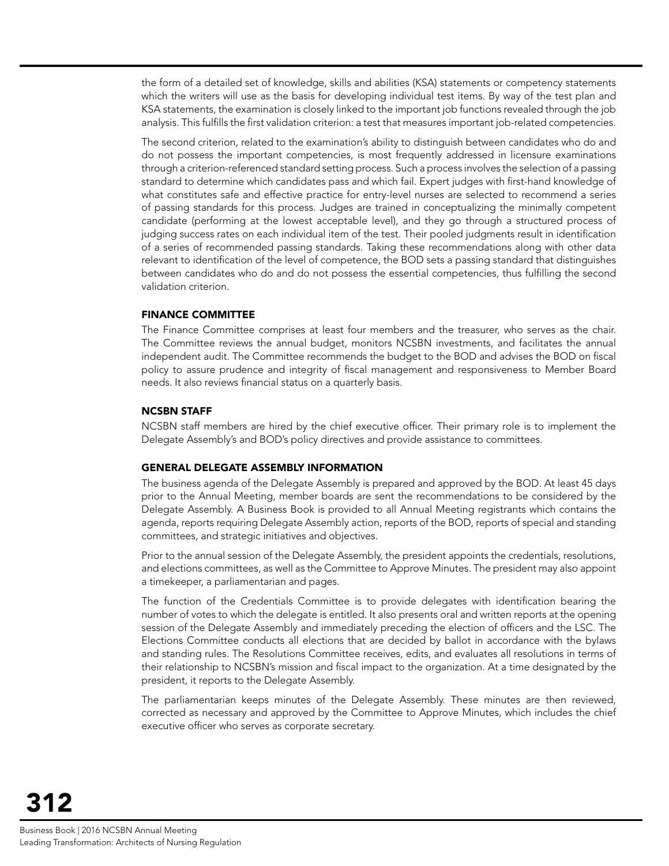the form of a detailed set of knowledge, skills and abilities (KSA) statements or competency statements which the writers will use as the basis for developing individual test items. By way of the test plan and KSA statements, the examination is closely linked to the important job functions revealed through the job analysis. This fulfills the first validation criterion: a test that measures important job-related competencies.

The second criterion, related to the examination's ability to distinguish between candidates who do and do not possess the important competencies, is most frequently addressed in licensure examinations through a criterion-referenced standard setting process. Such a process involves the selection of a passing standard to determine which candidates pass and which fail. Expert judges with first-hand knowledge of what constitutes safe and effective practice for entry-level nurses are selected to recommend a series of passing standards for this process. Judges are trained in conceptualizing the minimally competent candidate (performing at the lowest acceptable level), and they go through a structured process of judging success rates on each individual item of the test. Their pooled judgments result in identification of a series of recommended passing standards. Taking these recommendations along with other data relevant to identification of the level of competence, the BOD sets a passing standard that distinguishes between candidates who do and do not possess the essential competencies, thus fulfilling the second validation criterion.

#### FINANCE COMMITTEE

The Finance Committee comprises at least four members and the treasurer, who serves as the chair. The Committee reviews the annual budget, monitors NCSBN investments, and facilitates the annual independent audit. The Committee recommends the budget to the BOD and advises the BOD on fiscal policy to assure prudence and integrity of fiscal management and responsiveness to Member Board needs. It also reviews financial status on a quarterly basis.

#### NCSBN STAFF

NCSBN staff members are hired by the chief executive officer. Their primary role is to implement the Delegate Assembly's and BOD's policy directives and provide assistance to committees.

#### GENERAL DELEGATE ASSEMBLY INFORMATION

The business agenda of the Delegate Assembly is prepared and approved by the BOD. At least 45 days prior to the Annual Meeting, member boards are sent the recommendations to be considered by the Delegate Assembly. A Business Book is provided to all Annual Meeting registrants which contains the agenda, reports requiring Delegate Assembly action, reports of the BOD, reports of special and standing committees, and strategic initiatives and objectives.

Prior to the annual session of the Delegate Assembly, the president appoints the credentials, resolutions, and elections committees, as well as the Committee to Approve Minutes. The president may also appoint a timekeeper, a parliamentarian and pages.

The function of the Credentials Committee is to provide delegates with identification bearing the number of votes to which the delegate is entitled. It also presents oral and written reports at the opening session of the Delegate Assembly and immediately preceding the election of officers and the LSC. The Elections Committee conducts all elections that are decided by ballot in accordance with the bylaws and standing rules. The Resolutions Committee receives, edits, and evaluates all resolutions in terms of their relationship to NCSBN's mission and fiscal impact to the organization. At a time designated by the president, it reports to the Delegate Assembly.

The parliamentarian keeps minutes of the Delegate Assembly. These minutes are then reviewed, corrected as necessary and approved by the Committee to Approve Minutes, which includes the chief executive officer who serves as corporate secretary.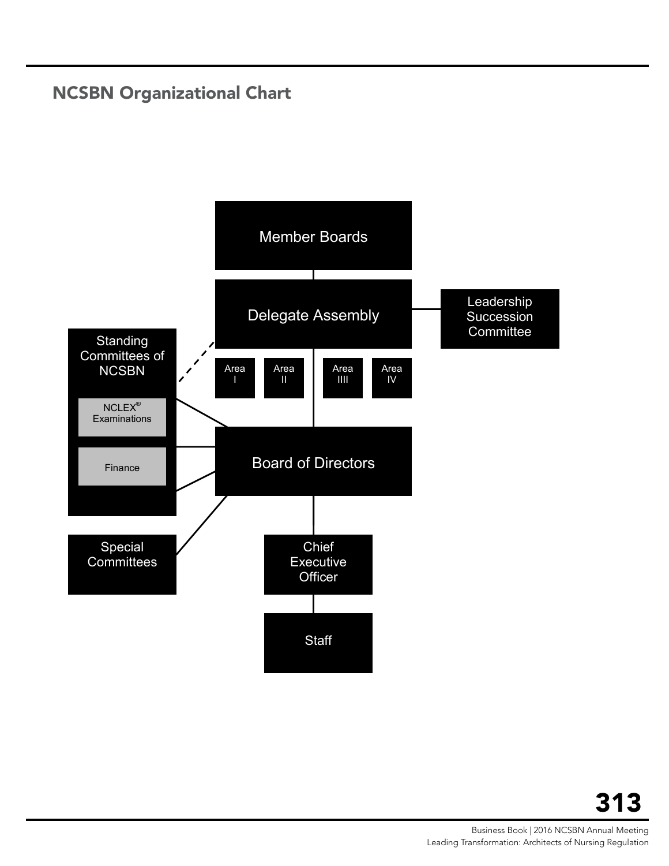# <span id="page-12-0"></span>NCSBN Organizational Chart

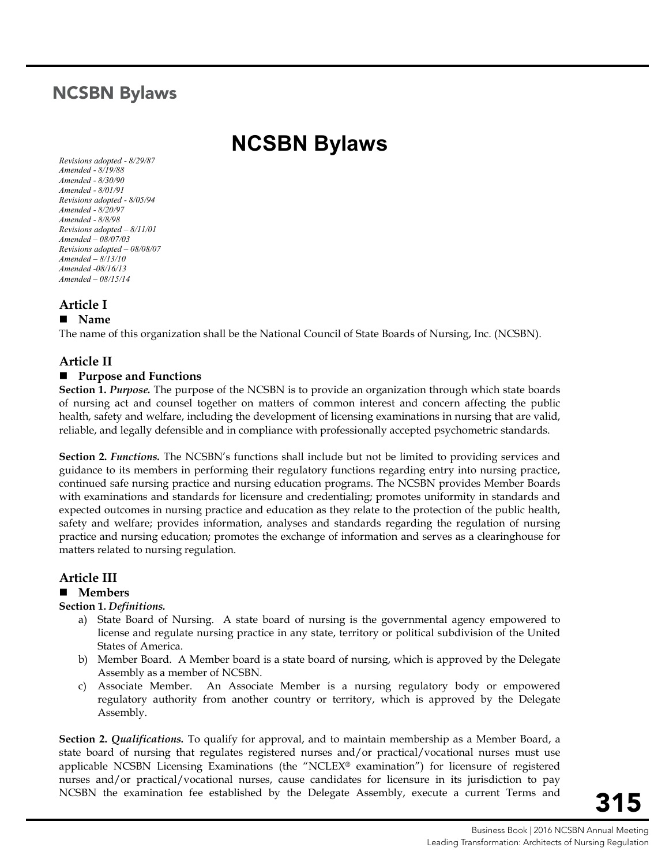# <span id="page-14-0"></span>NCSBN Bylaws

# **NCSBN Bylaws**

*Revisions adopted - 8/29/87 Amended - 8/19/88 Amended - 8/30/90 Amended - 8/01/91 Revisions adopted - 8/05/94 Amended - 8/20/97 Amended - 8/8/98 Revisions adopted – 8/11/01 Amended – 08/07/03 Revisions adopted – 08/08/07 Amended – 8/13/10 Amended -08/16/13 Amended – 08/15/14*

# **Article I**

#### **Name**

The name of this organization shall be the National Council of State Boards of Nursing, Inc. (NCSBN).

## **Article II**

#### ■ Purpose and Functions

**Section 1.** *Purpose.* The purpose of the NCSBN is to provide an organization through which state boards of nursing act and counsel together on matters of common interest and concern affecting the public health, safety and welfare, including the development of licensing examinations in nursing that are valid, reliable, and legally defensible and in compliance with professionally accepted psychometric standards.

**Section 2.** *Functions*. The NCSBN's functions shall include but not be limited to providing services and guidance to its members in performing their regulatory functions regarding entry into nursing practice, continued safe nursing practice and nursing education programs. The NCSBN provides Member Boards with examinations and standards for licensure and credentialing; promotes uniformity in standards and expected outcomes in nursing practice and education as they relate to the protection of the public health, safety and welfare; provides information, analyses and standards regarding the regulation of nursing practice and nursing education; promotes the exchange of information and serves as a clearinghouse for matters related to nursing regulation.

# **Article III**

#### **Members**

#### **Section 1.** *Definitions.*

- a) State Board of Nursing. A state board of nursing is the governmental agency empowered to license and regulate nursing practice in any state, territory or political subdivision of the United States of America.
- b) Member Board. A Member board is a state board of nursing, which is approved by the Delegate Assembly as a member of NCSBN.
- c) Associate Member. An Associate Member is a nursing regulatory body or empowered regulatory authority from another country or territory, which is approved by the Delegate Assembly.

**Section 2.** *Qualifications.* To qualify for approval, and to maintain membership as a Member Board, a state board of nursing that regulates registered nurses and/or practical/vocational nurses must use applicable NCSBN Licensing Examinations (the "NCLEX® examination") for licensure of registered nurses and/or practical/vocational nurses, cause candidates for licensure in its jurisdiction to pay NCSBN the examination fee established by the Delegate Assembly, execute a current Terms and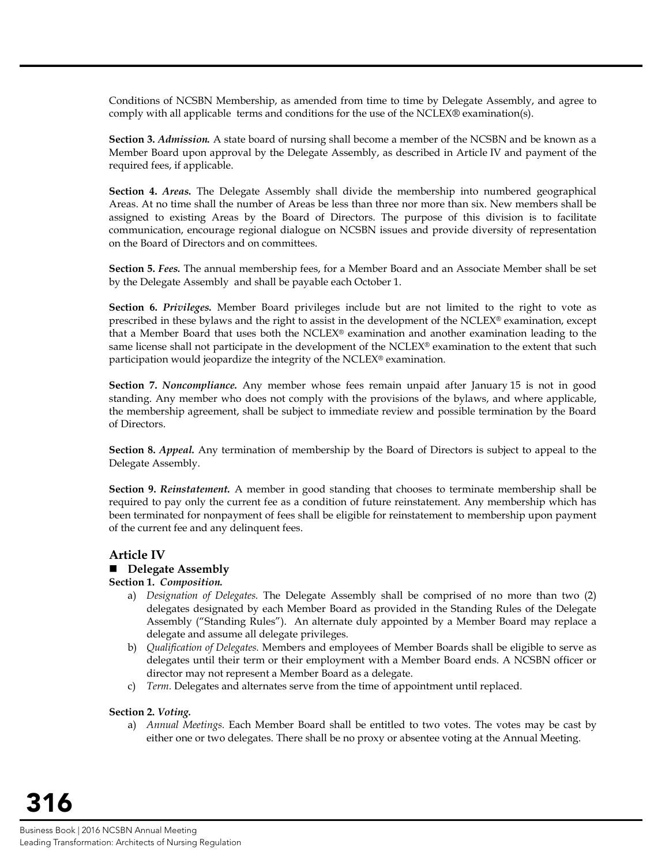Conditions of NCSBN Membership, as amended from time to time by Delegate Assembly, and agree to comply with all applicable terms and conditions for the use of the NCLEX® examination(s).

**Section 3.** *Admission.* A state board of nursing shall become a member of the NCSBN and be known as a Member Board upon approval by the Delegate Assembly, as described in Article IV and payment of the required fees, if applicable.

**Section 4.** *Areas.* The Delegate Assembly shall divide the membership into numbered geographical Areas. At no time shall the number of Areas be less than three nor more than six. New members shall be assigned to existing Areas by the Board of Directors. The purpose of this division is to facilitate communication, encourage regional dialogue on NCSBN issues and provide diversity of representation on the Board of Directors and on committees.

**Section 5.** *Fees.* The annual membership fees, for a Member Board and an Associate Member shall be set by the Delegate Assembly and shall be payable each October 1.

**Section 6.** *Privileges.* Member Board privileges include but are not limited to the right to vote as prescribed in these bylaws and the right to assist in the development of the NCLEX® examination, except that a Member Board that uses both the NCLEX® examination and another examination leading to the same license shall not participate in the development of the NCLEX<sup>®</sup> examination to the extent that such participation would jeopardize the integrity of the NCLEX® examination.

**Section 7.** *Noncompliance.* Any member whose fees remain unpaid after January 15 is not in good standing. Any member who does not comply with the provisions of the bylaws, and where applicable, the membership agreement, shall be subject to immediate review and possible termination by the Board of Directors.

**Section 8.** *Appeal.* Any termination of membership by the Board of Directors is subject to appeal to the Delegate Assembly.

**Section 9.** *Reinstatement.* A member in good standing that chooses to terminate membership shall be required to pay only the current fee as a condition of future reinstatement. Any membership which has been terminated for nonpayment of fees shall be eligible for reinstatement to membership upon payment of the current fee and any delinquent fees.

#### **Article IV**

#### ■ Delegate Assembly

#### **Section 1.** *Composition.*

- a) *Designation of Delegates.* The Delegate Assembly shall be comprised of no more than two (2) delegates designated by each Member Board as provided in the Standing Rules of the Delegate Assembly ("Standing Rules"). An alternate duly appointed by a Member Board may replace a delegate and assume all delegate privileges.
- b) *Qualification of Delegates.* Members and employees of Member Boards shall be eligible to serve as delegates until their term or their employment with a Member Board ends. A NCSBN officer or director may not represent a Member Board as a delegate.
- c) *Term.* Delegates and alternates serve from the time of appointment until replaced.

#### **Section 2.** *Voting.*

a) *Annual Meetings.* Each Member Board shall be entitled to two votes. The votes may be cast by either one or two delegates. There shall be no proxy or absentee voting at the Annual Meeting.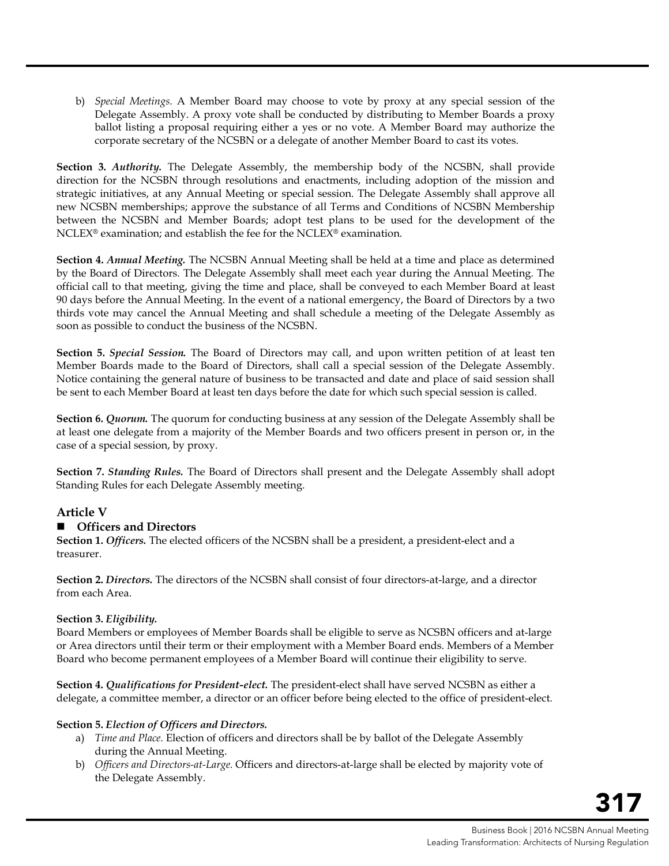b) *Special Meetings.* A Member Board may choose to vote by proxy at any special session of the Delegate Assembly. A proxy vote shall be conducted by distributing to Member Boards a proxy ballot listing a proposal requiring either a yes or no vote. A Member Board may authorize the corporate secretary of the NCSBN or a delegate of another Member Board to cast its votes.

**Section 3.** *Authority.* The Delegate Assembly, the membership body of the NCSBN, shall provide direction for the NCSBN through resolutions and enactments, including adoption of the mission and strategic initiatives, at any Annual Meeting or special session. The Delegate Assembly shall approve all new NCSBN memberships; approve the substance of all Terms and Conditions of NCSBN Membership between the NCSBN and Member Boards; adopt test plans to be used for the development of the NCLEX® examination; and establish the fee for the NCLEX® examination.

**Section 4.** *Annual Meeting.* The NCSBN Annual Meeting shall be held at a time and place as determined by the Board of Directors. The Delegate Assembly shall meet each year during the Annual Meeting. The official call to that meeting, giving the time and place, shall be conveyed to each Member Board at least 90 days before the Annual Meeting. In the event of a national emergency, the Board of Directors by a two thirds vote may cancel the Annual Meeting and shall schedule a meeting of the Delegate Assembly as soon as possible to conduct the business of the NCSBN.

**Section 5.** *Special Session.* The Board of Directors may call, and upon written petition of at least ten Member Boards made to the Board of Directors, shall call a special session of the Delegate Assembly. Notice containing the general nature of business to be transacted and date and place of said session shall be sent to each Member Board at least ten days before the date for which such special session is called.

**Section 6.** *Quorum*. The quorum for conducting business at any session of the Delegate Assembly shall be at least one delegate from a majority of the Member Boards and two officers present in person or, in the case of a special session, by proxy.

**Section 7.** *Standing Rules.* The Board of Directors shall present and the Delegate Assembly shall adopt Standing Rules for each Delegate Assembly meeting.

#### **Article V**

#### **Officers and Directors**

**Section 1.** *Officers.* The elected officers of the NCSBN shall be a president, a president-elect and a treasurer.

**Section 2.** *Directors.* The directors of the NCSBN shall consist of four directors-at-large, and a director from each Area.

#### **Section 3.** *Eligibility.*

Board Members or employees of Member Boards shall be eligible to serve as NCSBN officers and at-large or Area directors until their term or their employment with a Member Board ends. Members of a Member Board who become permanent employees of a Member Board will continue their eligibility to serve.

**Section 4.** *Qualifications for President-elect.* The president-elect shall have served NCSBN as either a delegate, a committee member, a director or an officer before being elected to the office of president-elect.

#### **Section 5.** *Election of Officers and Directors.*

- a) *Time and Place.* Election of officers and directors shall be by ballot of the Delegate Assembly during the Annual Meeting.
- b) *Officers and Directors-at-Large.* Officers and directors-at-large shall be elected by majority vote of the Delegate Assembly.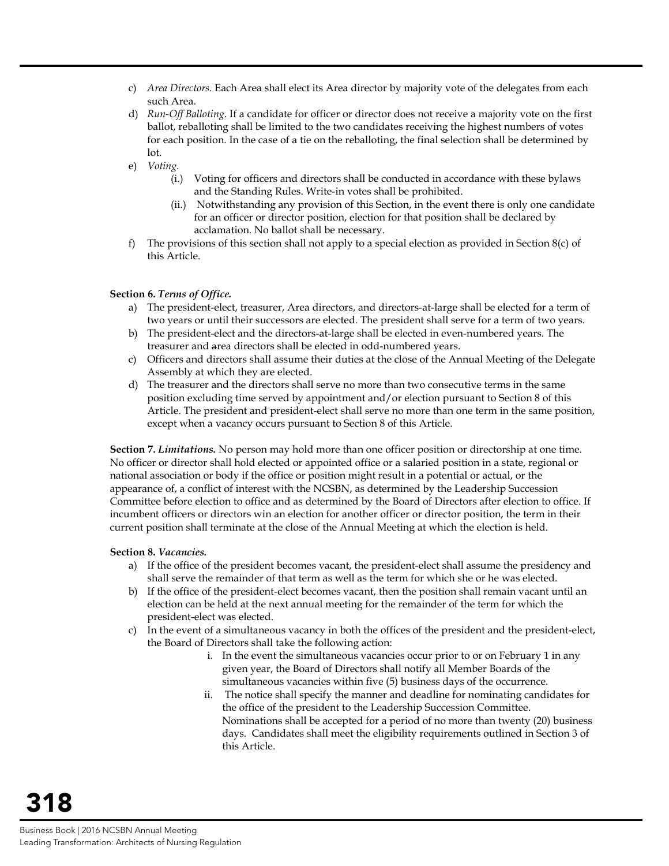- c) *Area Directors.* Each Area shall elect its Area director by majority vote of the delegates from each such Area.
- d) *Run-Off Balloting*. If a candidate for officer or director does not receive a majority vote on the first ballot, reballoting shall be limited to the two candidates receiving the highest numbers of votes for each position. In the case of a tie on the reballoting, the final selection shall be determined by lot.
- e) *Voting.*
	- (i.) Voting for officers and directors shall be conducted in accordance with these bylaws and the Standing Rules. Write-in votes shall be prohibited.
	- (ii.) Notwithstanding any provision of this Section, in the event there is only one candidate for an officer or director position, election for that position shall be declared by acclamation. No ballot shall be necessary.
- f) The provisions of this section shall not apply to a special election as provided in Section 8(c) of this Article.

#### **Section 6.** *Terms of Office.*

- a) The president-elect, treasurer, Area directors, and directors-at-large shall be elected for a term of two years or until their successors are elected. The president shall serve for a term of two years.
- b) The president-elect and the directors-at-large shall be elected in even-numbered years. The treasurer and area directors shall be elected in odd-numbered years.
- c) Officers and directors shall assume their duties at the close of the Annual Meeting of the Delegate Assembly at which they are elected.
- d) The treasurer and the directors shall serve no more than two consecutive terms in the same position excluding time served by appointment and/or election pursuant to Section 8 of this Article. The president and president-elect shall serve no more than one term in the same position, except when a vacancy occurs pursuant to Section 8 of this Article.

**Section 7.** *Limitations.* No person may hold more than one officer position or directorship at one time. No officer or director shall hold elected or appointed office or a salaried position in a state, regional or national association or body if the office or position might result in a potential or actual, or the appearance of, a conflict of interest with the NCSBN, as determined by the Leadership Succession Committee before election to office and as determined by the Board of Directors after election to office. If incumbent officers or directors win an election for another officer or director position, the term in their current position shall terminate at the close of the Annual Meeting at which the election is held.

#### **Section 8.** *Vacancies.*

- a) If the office of the president becomes vacant, the president-elect shall assume the presidency and shall serve the remainder of that term as well as the term for which she or he was elected.
- b) If the office of the president-elect becomes vacant, then the position shall remain vacant until an election can be held at the next annual meeting for the remainder of the term for which the president-elect was elected.
- c) In the event of a simultaneous vacancy in both the offices of the president and the president-elect, the Board of Directors shall take the following action:
	- i. In the event the simultaneous vacancies occur prior to or on February 1 in any given year, the Board of Directors shall notify all Member Boards of the simultaneous vacancies within five (5) business days of the occurrence.
	- ii. The notice shall specify the manner and deadline for nominating candidates for the office of the president to the Leadership Succession Committee. Nominations shall be accepted for a period of no more than twenty (20) business days. Candidates shall meet the eligibility requirements outlined in Section 3 of this Article.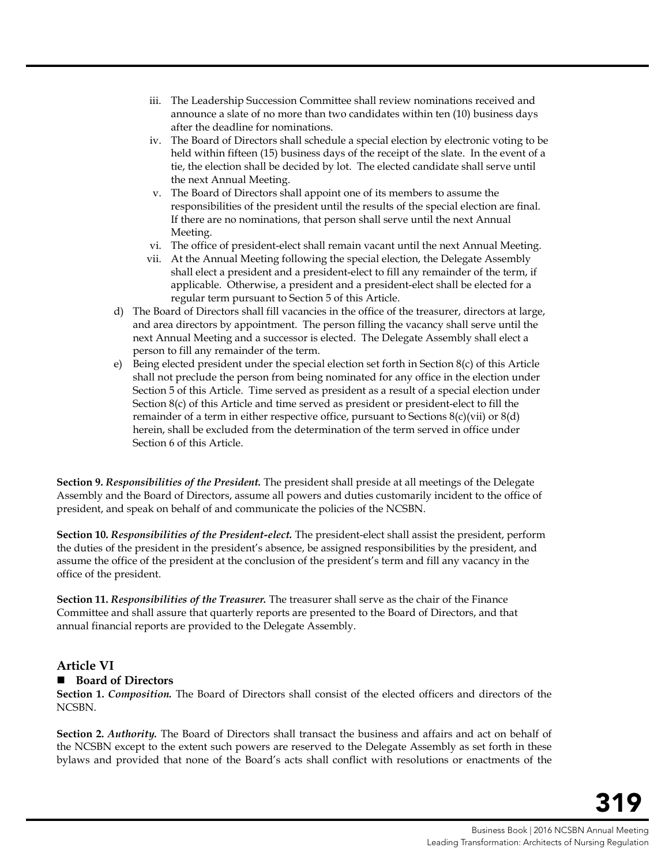- iii. The Leadership Succession Committee shall review nominations received and announce a slate of no more than two candidates within ten (10) business days after the deadline for nominations.
- iv. The Board of Directors shall schedule a special election by electronic voting to be held within fifteen (15) business days of the receipt of the slate. In the event of a tie, the election shall be decided by lot. The elected candidate shall serve until the next Annual Meeting.
- v. The Board of Directors shall appoint one of its members to assume the responsibilities of the president until the results of the special election are final. If there are no nominations, that person shall serve until the next Annual Meeting.
- vi. The office of president-elect shall remain vacant until the next Annual Meeting.
- vii. At the Annual Meeting following the special election, the Delegate Assembly shall elect a president and a president-elect to fill any remainder of the term, if applicable. Otherwise, a president and a president-elect shall be elected for a regular term pursuant to Section 5 of this Article.
- d) The Board of Directors shall fill vacancies in the office of the treasurer, directors at large, and area directors by appointment. The person filling the vacancy shall serve until the next Annual Meeting and a successor is elected. The Delegate Assembly shall elect a person to fill any remainder of the term.
- e) Being elected president under the special election set forth in Section 8(c) of this Article shall not preclude the person from being nominated for any office in the election under Section 5 of this Article. Time served as president as a result of a special election under Section 8(c) of this Article and time served as president or president-elect to fill the remainder of a term in either respective office, pursuant to Sections  $8(c)(vi)$  or  $8(d)$ herein, shall be excluded from the determination of the term served in office under Section 6 of this Article.

**Section 9.** *Responsibilities of the President.* The president shall preside at all meetings of the Delegate Assembly and the Board of Directors, assume all powers and duties customarily incident to the office of president, and speak on behalf of and communicate the policies of the NCSBN.

**Section 10.** *Responsibilities of the President-elect.* The president-elect shall assist the president, perform the duties of the president in the president's absence, be assigned responsibilities by the president, and assume the office of the president at the conclusion of the president's term and fill any vacancy in the office of the president.

**Section 11.** *Responsibilities of the Treasurer.* The treasurer shall serve as the chair of the Finance Committee and shall assure that quarterly reports are presented to the Board of Directors, and that annual financial reports are provided to the Delegate Assembly.

#### **Article VI**

#### ■ Board of Directors

**Section 1.** *Composition.* The Board of Directors shall consist of the elected officers and directors of the NCSBN.

**Section 2.** *Authority.* The Board of Directors shall transact the business and affairs and act on behalf of the NCSBN except to the extent such powers are reserved to the Delegate Assembly as set forth in these bylaws and provided that none of the Board's acts shall conflict with resolutions or enactments of the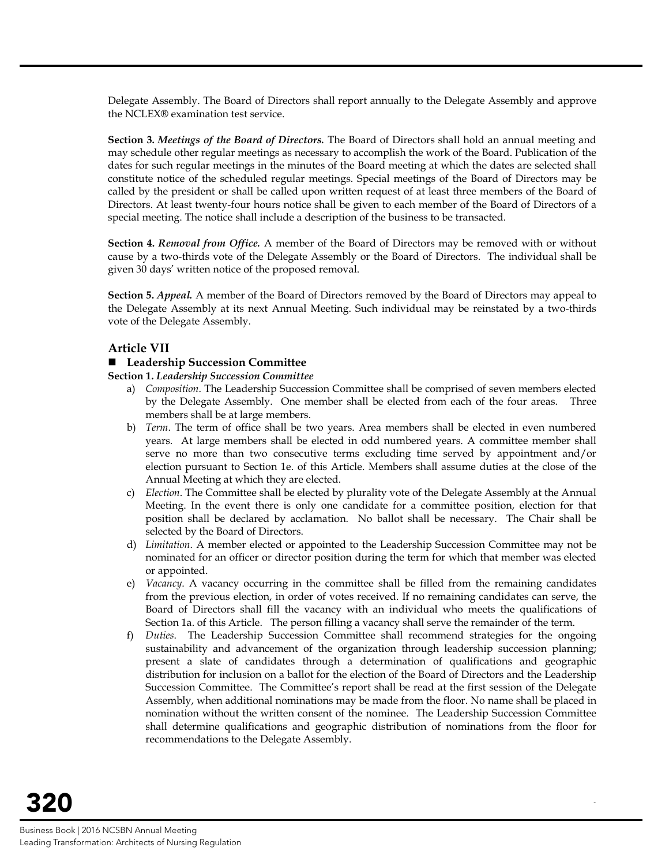Delegate Assembly. The Board of Directors shall report annually to the Delegate Assembly and approve the NCLEX® examination test service.

**Section 3.** *Meetings of the Board of Directors.* The Board of Directors shall hold an annual meeting and may schedule other regular meetings as necessary to accomplish the work of the Board. Publication of the dates for such regular meetings in the minutes of the Board meeting at which the dates are selected shall constitute notice of the scheduled regular meetings. Special meetings of the Board of Directors may be called by the president or shall be called upon written request of at least three members of the Board of Directors. At least twenty-four hours notice shall be given to each member of the Board of Directors of a special meeting. The notice shall include a description of the business to be transacted.

**Section 4.** *Removal from Office.* A member of the Board of Directors may be removed with or without cause by a two-thirds vote of the Delegate Assembly or the Board of Directors. The individual shall be given 30 days' written notice of the proposed removal.

**Section 5.** *Appeal.* A member of the Board of Directors removed by the Board of Directors may appeal to the Delegate Assembly at its next Annual Meeting. Such individual may be reinstated by a two-thirds vote of the Delegate Assembly.

### **Article VII**

#### ■ Leadership Succession Committee

**Section 1.** *Leadership Succession Committee*

- a) *Composition*. The Leadership Succession Committee shall be comprised of seven members elected by the Delegate Assembly. One member shall be elected from each of the four areas. Three members shall be at large members.
- b) *Term*. The term of office shall be two years. Area members shall be elected in even numbered years. At large members shall be elected in odd numbered years. A committee member shall serve no more than two consecutive terms excluding time served by appointment and/or election pursuant to Section 1e. of this Article. Members shall assume duties at the close of the Annual Meeting at which they are elected.
- c) *Election*. The Committee shall be elected by plurality vote of the Delegate Assembly at the Annual Meeting. In the event there is only one candidate for a committee position, election for that position shall be declared by acclamation. No ballot shall be necessary. The Chair shall be selected by the Board of Directors.
- d) *Limitation*. A member elected or appointed to the Leadership Succession Committee may not be nominated for an officer or director position during the term for which that member was elected or appointed.
- e) *Vacancy*. A vacancy occurring in the committee shall be filled from the remaining candidates from the previous election, in order of votes received. If no remaining candidates can serve, the Board of Directors shall fill the vacancy with an individual who meets the qualifications of Section 1a. of this Article. The person filling a vacancy shall serve the remainder of the term.
- f) *Duties*. The Leadership Succession Committee shall recommend strategies for the ongoing sustainability and advancement of the organization through leadership succession planning; present a slate of candidates through a determination of qualifications and geographic distribution for inclusion on a ballot for the election of the Board of Directors and the Leadership Succession Committee. The Committee's report shall be read at the first session of the Delegate Assembly, when additional nominations may be made from the floor. No name shall be placed in nomination without the written cons*e*nt of the nominee. The Leadership Succession Committee shall determine qualifications and geographic distribution of nominations from the floor for recommendations to the Delegate Assembly.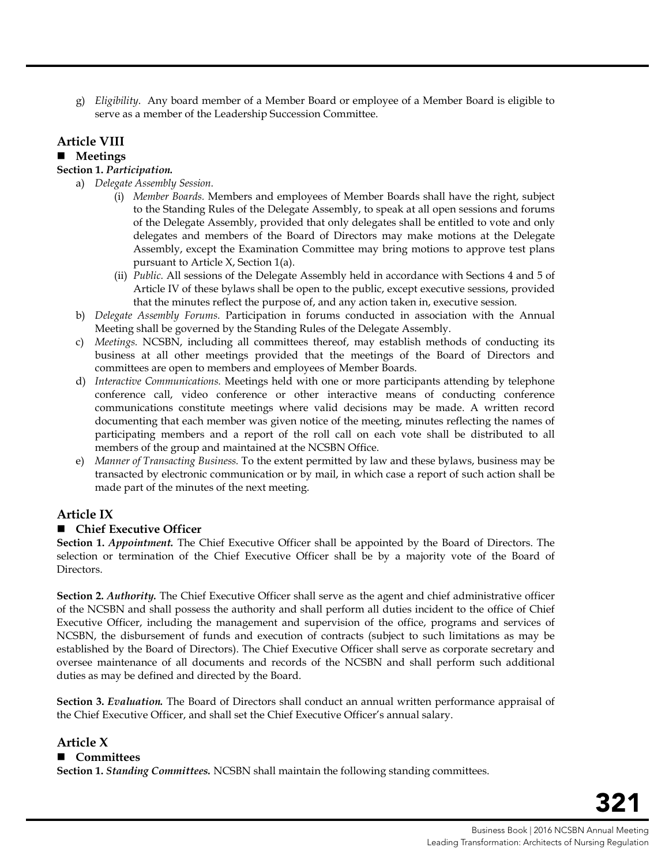g) *Eligibility*. Any board member of a Member Board or employee of a Member Board is eligible to serve as a member of the Leadership Succession Committee.

### **Article VIII**

#### **Meetings**

#### **Section 1.** *Participation.*

- a) *Delegate Assembly Session.*
	- (i) *Member Boards.* Members and employees of Member Boards shall have the right, subject to the Standing Rules of the Delegate Assembly, to speak at all open sessions and forums of the Delegate Assembly, provided that only delegates shall be entitled to vote and only delegates and members of the Board of Directors may make motions at the Delegate Assembly, except the Examination Committee may bring motions to approve test plans pursuant to Article X, Section 1(a).
	- (ii) *Public.* All sessions of the Delegate Assembly held in accordance with Sections 4 and 5 of Article IV of these bylaws shall be open to the public, except executive sessions, provided that the minutes reflect the purpose of, and any action taken in, executive session.
- b) *Delegate Assembly Forums.* Participation in forums conducted in association with the Annual Meeting shall be governed by the Standing Rules of the Delegate Assembly.
- c) *Meetings.* NCSBN, including all committees thereof, may establish methods of conducting its business at all other meetings provided that the meetings of the Board of Directors and committees are open to members and employees of Member Boards.
- d) *Interactive Communications.* Meetings held with one or more participants attending by telephone conference call, video conference or other interactive means of conducting conference communications constitute meetings where valid decisions may be made. A written record documenting that each member was given notice of the meeting, minutes reflecting the names of participating members and a report of the roll call on each vote shall be distributed to all members of the group and maintained at the NCSBN Office.
- e) *Manner of Transacting Business.* To the extent permitted by law and these bylaws, business may be transacted by electronic communication or by mail, in which case a report of such action shall be made part of the minutes of the next meeting.

## **Article IX**

#### **Chief Executive Officer**

**Section 1.** *Appointment.* The Chief Executive Officer shall be appointed by the Board of Directors. The selection or termination of the Chief Executive Officer shall be by a majority vote of the Board of Directors.

**Section 2.** *Authority.* The Chief Executive Officer shall serve as the agent and chief administrative officer of the NCSBN and shall possess the authority and shall perform all duties incident to the office of Chief Executive Officer, including the management and supervision of the office, programs and services of NCSBN, the disbursement of funds and execution of contracts (subject to such limitations as may be established by the Board of Directors). The Chief Executive Officer shall serve as corporate secretary and oversee maintenance of all documents and records of the NCSBN and shall perform such additional duties as may be defined and directed by the Board.

**Section 3.** *Evaluation.* The Board of Directors shall conduct an annual written performance appraisal of the Chief Executive Officer, and shall set the Chief Executive Officer's annual salary.

## **Article X**

#### **Committees**

**Section 1.** *Standing Committees.* NCSBN shall maintain the following standing committees.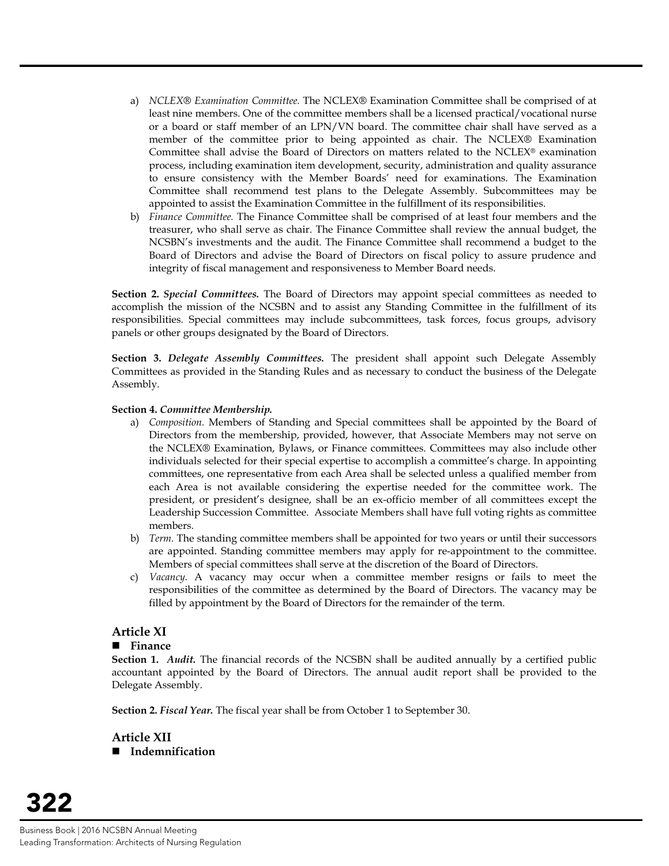- a) *NCLEX® Examination Committee.* The NCLEX® Examination Committee shall be comprised of at least nine members. One of the committee members shall be a licensed practical/vocational nurse or a board or staff member of an LPN/VN board. The committee chair shall have served as a member of the committee prior to being appointed as chair. The NCLEX® Examination Committee shall advise the Board of Directors on matters related to the NCLEX® examination process, including examination item development, security, administration and quality assurance to ensure consistency with the Member Boards' need for examinations. The Examination Committee shall recommend test plans to the Delegate Assembly. Subcommittees may be appointed to assist the Examination Committee in the fulfillment of its responsibilities.
- b) *Finance Committee.* The Finance Committee shall be comprised of at least four members and the treasurer, who shall serve as chair. The Finance Committee shall review the annual budget, the NCSBN's investments and the audit. The Finance Committee shall recommend a budget to the Board of Directors and advise the Board of Directors on fiscal policy to assure prudence and integrity of fiscal management and responsiveness to Member Board needs.

**Section 2.** *Special Committees.* The Board of Directors may appoint special committees as needed to accomplish the mission of the NCSBN and to assist any Standing Committee in the fulfillment of its responsibilities. Special committees may include subcommittees, task forces, focus groups, advisory panels or other groups designated by the Board of Directors.

**Section 3.** *Delegate Assembly Committees.* The president shall appoint such Delegate Assembly Committees as provided in the Standing Rules and as necessary to conduct the business of the Delegate Assembly.

#### **Section 4.** *Committee Membership.*

- a) *Composition.* Members of Standing and Special committees shall be appointed by the Board of Directors from the membership, provided, however, that Associate Members may not serve on the NCLEX® Examination, Bylaws, or Finance committees. Committees may also include other individuals selected for their special expertise to accomplish a committee's charge. In appointing committees, one representative from each Area shall be selected unless a qualified member from each Area is not available considering the expertise needed for the committee work. The president, or president's designee, shall be an ex-officio member of all committees except the Leadership Succession Committee. Associate Members shall have full voting rights as committee members.
- b) *Term.* The standing committee members shall be appointed for two years or until their successors are appointed. Standing committee members may apply for re-appointment to the committee. Members of special committees shall serve at the discretion of the Board of Directors.
- c) *Vacancy.* A vacancy may occur when a committee member resigns or fails to meet the responsibilities of the committee as determined by the Board of Directors. The vacancy may be filled by appointment by the Board of Directors for the remainder of the term.

#### **Article XI**

#### **Finance**

**Section 1.** *Audit.* The financial records of the NCSBN shall be audited annually by a certified public accountant appointed by the Board of Directors. The annual audit report shall be provided to the Delegate Assembly.

**Section 2.** *Fiscal Year.* The fiscal year shall be from October 1 to September 30.

**Article XII Indemnification**

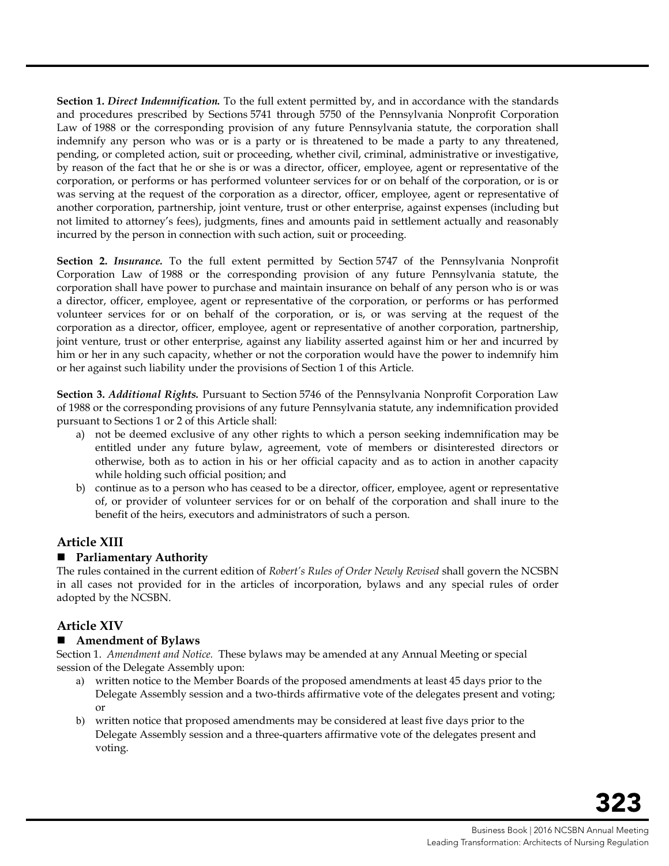**Section 1.** *Direct Indemnification.* To the full extent permitted by, and in accordance with the standards and procedures prescribed by Sections 5741 through 5750 of the Pennsylvania Nonprofit Corporation Law of 1988 or the corresponding provision of any future Pennsylvania statute, the corporation shall indemnify any person who was or is a party or is threatened to be made a party to any threatened, pending, or completed action, suit or proceeding, whether civil, criminal, administrative or investigative, by reason of the fact that he or she is or was a director, officer, employee, agent or representative of the corporation, or performs or has performed volunteer services for or on behalf of the corporation, or is or was serving at the request of the corporation as a director, officer, employee, agent or representative of another corporation, partnership, joint venture, trust or other enterprise, against expenses (including but not limited to attorney's fees), judgments, fines and amounts paid in settlement actually and reasonably incurred by the person in connection with such action, suit or proceeding.

**Section 2.** *Insurance.* To the full extent permitted by Section 5747 of the Pennsylvania Nonprofit Corporation Law of 1988 or the corresponding provision of any future Pennsylvania statute, the corporation shall have power to purchase and maintain insurance on behalf of any person who is or was a director, officer, employee, agent or representative of the corporation, or performs or has performed volunteer services for or on behalf of the corporation, or is, or was serving at the request of the corporation as a director, officer, employee, agent or representative of another corporation, partnership, joint venture, trust or other enterprise, against any liability asserted against him or her and incurred by him or her in any such capacity, whether or not the corporation would have the power to indemnify him or her against such liability under the provisions of Section 1 of this Article.

**Section 3.** *Additional Rights.* Pursuant to Section 5746 of the Pennsylvania Nonprofit Corporation Law of 1988 or the corresponding provisions of any future Pennsylvania statute, any indemnification provided pursuant to Sections 1 or 2 of this Article shall:

- a) not be deemed exclusive of any other rights to which a person seeking indemnification may be entitled under any future bylaw, agreement, vote of members or disinterested directors or otherwise, both as to action in his or her official capacity and as to action in another capacity while holding such official position; and
- b) continue as to a person who has ceased to be a director, officer, employee, agent or representative of, or provider of volunteer services for or on behalf of the corporation and shall inure to the benefit of the heirs, executors and administrators of such a person.

## **Article XIII**

#### **Parliamentary Authority**

The rules contained in the current edition of *Robert's Rules of Order Newly Revised* shall govern the NCSBN in all cases not provided for in the articles of incorporation, bylaws and any special rules of order adopted by the NCSBN.

## **Article XIV**

#### **Amendment of Bylaws**

Section 1. *Amendment and Notice.* These bylaws may be amended at any Annual Meeting or special session of the Delegate Assembly upon:

- a) written notice to the Member Boards of the proposed amendments at least 45 days prior to the Delegate Assembly session and a two-thirds affirmative vote of the delegates present and voting; or
- b) written notice that proposed amendments may be considered at least five days prior to the Delegate Assembly session and a three-quarters affirmative vote of the delegates present and voting.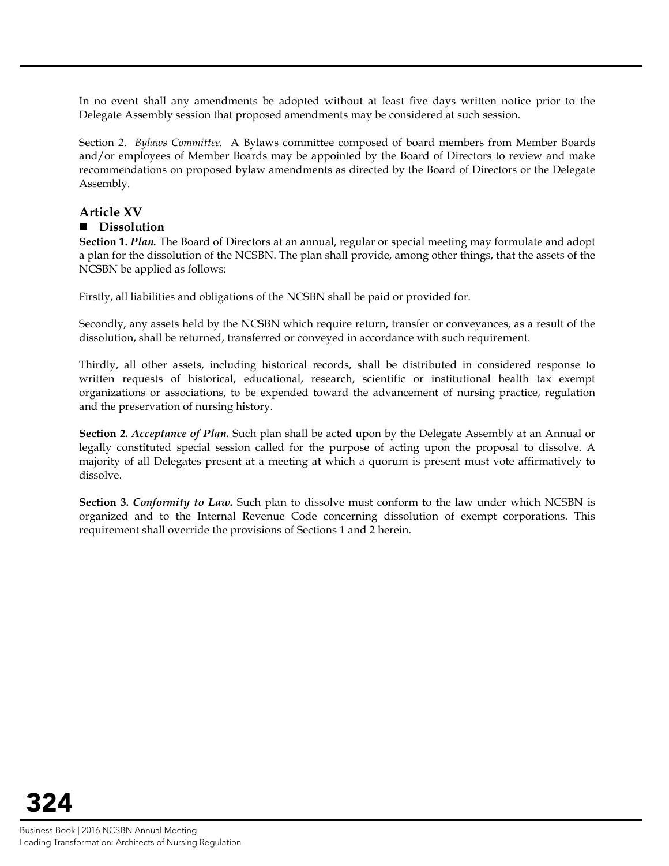In no event shall any amendments be adopted without at least five days written notice prior to the Delegate Assembly session that proposed amendments may be considered at such session.

Section 2. *Bylaws Committee.* A Bylaws committee composed of board members from Member Boards and/or employees of Member Boards may be appointed by the Board of Directors to review and make recommendations on proposed bylaw amendments as directed by the Board of Directors or the Delegate Assembly.

## **Article XV**

#### **Dissolution**

**Section 1.** *Plan.* The Board of Directors at an annual, regular or special meeting may formulate and adopt a plan for the dissolution of the NCSBN. The plan shall provide, among other things, that the assets of the NCSBN be applied as follows:

Firstly, all liabilities and obligations of the NCSBN shall be paid or provided for.

Secondly, any assets held by the NCSBN which require return, transfer or conveyances, as a result of the dissolution, shall be returned, transferred or conveyed in accordance with such requirement.

Thirdly, all other assets, including historical records, shall be distributed in considered response to written requests of historical, educational, research, scientific or institutional health tax exempt organizations or associations, to be expended toward the advancement of nursing practice, regulation and the preservation of nursing history.

**Section 2.** *Acceptance of Plan.* Such plan shall be acted upon by the Delegate Assembly at an Annual or legally constituted special session called for the purpose of acting upon the proposal to dissolve. A majority of all Delegates present at a meeting at which a quorum is present must vote affirmatively to dissolve.

**Section 3.** *Conformity to Law.* Such plan to dissolve must conform to the law under which NCSBN is organized and to the Internal Revenue Code concerning dissolution of exempt corporations. This requirement shall override the provisions of Sections 1 and 2 herein.